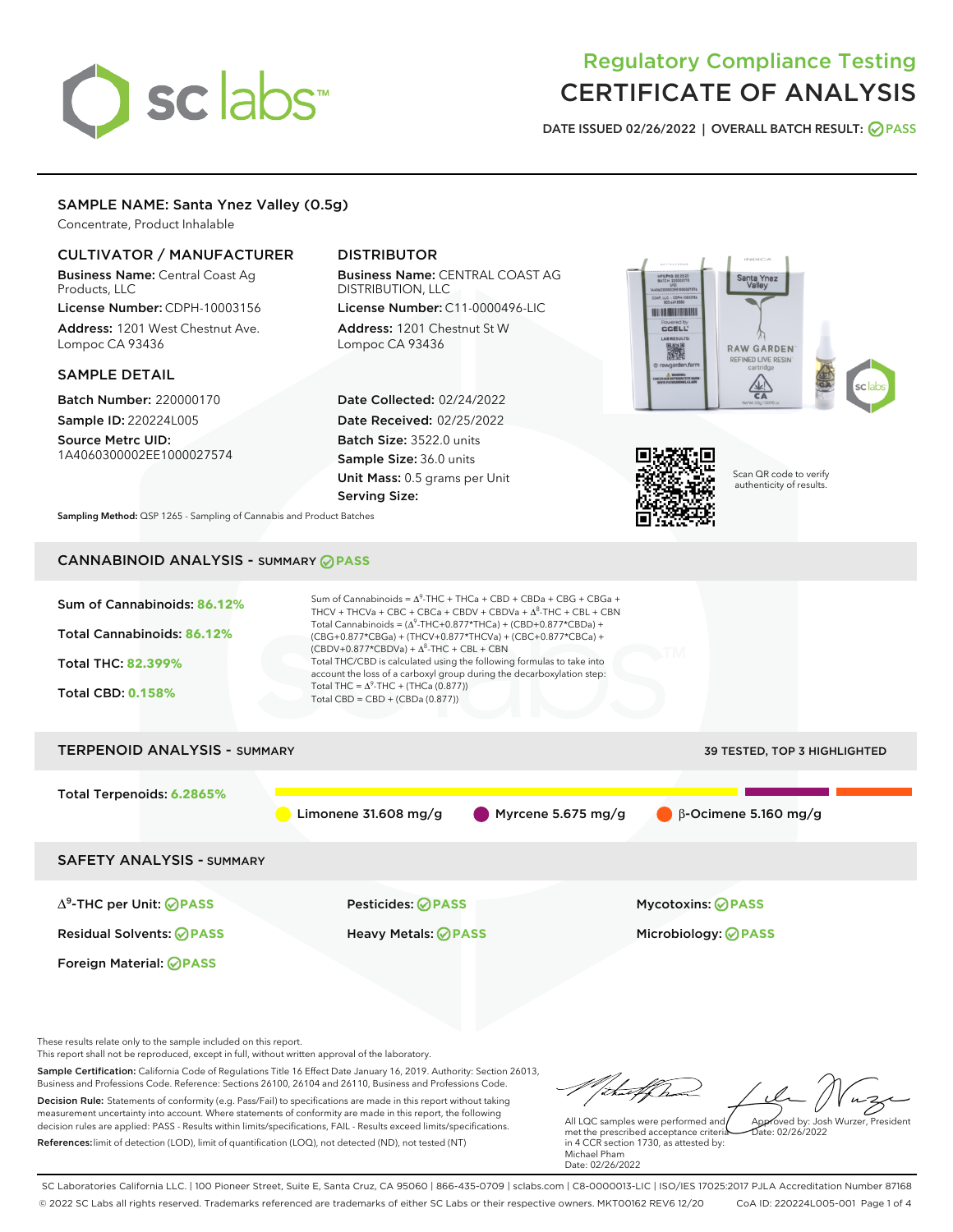# sclabs<sup>\*</sup>

# Regulatory Compliance Testing CERTIFICATE OF ANALYSIS

DATE ISSUED 02/26/2022 | OVERALL BATCH RESULT: @ PASS

#### SAMPLE NAME: Santa Ynez Valley (0.5g)

Concentrate, Product Inhalable

# CULTIVATOR / MANUFACTURER

Business Name: Central Coast Ag Products, LLC

License Number: CDPH-10003156 Address: 1201 West Chestnut Ave. Lompoc CA 93436

#### SAMPLE DETAIL

Batch Number: 220000170 Sample ID: 220224L005

Source Metrc UID: 1A4060300002EE1000027574

# DISTRIBUTOR

Business Name: CENTRAL COAST AG DISTRIBUTION, LLC License Number: C11-0000496-LIC

Address: 1201 Chestnut St W Lompoc CA 93436

Date Collected: 02/24/2022 Date Received: 02/25/2022 Batch Size: 3522.0 units Sample Size: 36.0 units Unit Mass: 0.5 grams per Unit Serving Size:





Scan QR code to verify authenticity of results.

Sampling Method: QSP 1265 - Sampling of Cannabis and Product Batches

# CANNABINOID ANALYSIS - SUMMARY **PASS**



These results relate only to the sample included on this report.

This report shall not be reproduced, except in full, without written approval of the laboratory.

Sample Certification: California Code of Regulations Title 16 Effect Date January 16, 2019. Authority: Section 26013, Business and Professions Code. Reference: Sections 26100, 26104 and 26110, Business and Professions Code. Decision Rule: Statements of conformity (e.g. Pass/Fail) to specifications are made in this report without taking measurement uncertainty into account. Where statements of conformity are made in this report, the following decision rules are applied: PASS - Results within limits/specifications, FAIL - Results exceed limits/specifications.

References:limit of detection (LOD), limit of quantification (LOQ), not detected (ND), not tested (NT)

tu#f h Approved by: Josh Wurzer, President

 $ate: 02/26/2022$ 

All LQC samples were performed and met the prescribed acceptance criteria in 4 CCR section 1730, as attested by: Michael Pham Date: 02/26/2022

SC Laboratories California LLC. | 100 Pioneer Street, Suite E, Santa Cruz, CA 95060 | 866-435-0709 | sclabs.com | C8-0000013-LIC | ISO/IES 17025:2017 PJLA Accreditation Number 87168 © 2022 SC Labs all rights reserved. Trademarks referenced are trademarks of either SC Labs or their respective owners. MKT00162 REV6 12/20 CoA ID: 220224L005-001 Page 1 of 4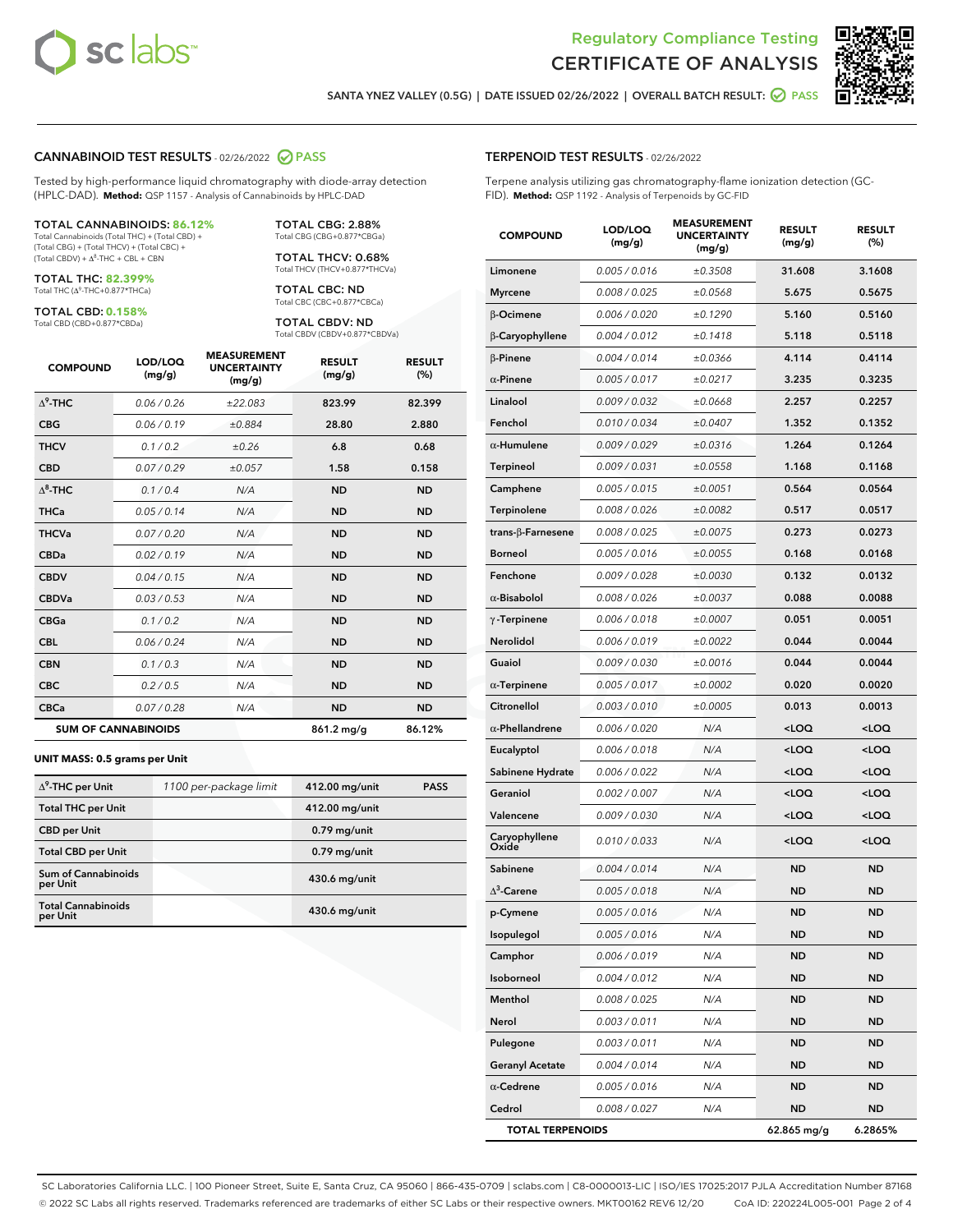

Terpene analysis utilizing gas chromatography-flame ionization detection (GC-



SANTA YNEZ VALLEY (0.5G) | DATE ISSUED 02/26/2022 | OVERALL BATCH RESULT:  $\bigcirc$  PASS

TERPENOID TEST RESULTS - 02/26/2022

#### CANNABINOID TEST RESULTS - 02/26/2022 2 PASS

Tested by high-performance liquid chromatography with diode-array detection (HPLC-DAD). **Method:** QSP 1157 - Analysis of Cannabinoids by HPLC-DAD

#### TOTAL CANNABINOIDS: **86.12%**

Total Cannabinoids (Total THC) + (Total CBD) + (Total CBG) + (Total THCV) + (Total CBC) +  $(Total CBDV) +  $\Delta^8$ -THC + CBL + CBN$ 

TOTAL THC: **82.399%** Total THC (Δ<sup>9</sup>-THC+0.877\*THCa)

TOTAL CBD: **0.158%** Total CBD (CBD+0.877\*CBDa)

TOTAL CBG: 2.88% Total CBG (CBG+0.877\*CBGa)

TOTAL THCV: 0.68% Total THCV (THCV+0.877\*THCVa)

TOTAL CBC: ND Total CBC (CBC+0.877\*CBCa)

TOTAL CBDV: ND Total CBDV (CBDV+0.877\*CBDVa)

| <b>COMPOUND</b>  | LOD/LOQ<br>(mg/g)          | <b>MEASUREMENT</b><br><b>UNCERTAINTY</b><br>(mg/g) | <b>RESULT</b><br>(mg/g) | <b>RESULT</b><br>(%) |
|------------------|----------------------------|----------------------------------------------------|-------------------------|----------------------|
| $\Lambda^9$ -THC | 0.06/0.26                  | ±22.083                                            | 823.99                  | 82.399               |
| <b>CBG</b>       | 0.06/0.19                  | ±0.884                                             | 28.80                   | 2.880                |
| <b>THCV</b>      | 0.1 / 0.2                  | ±0.26                                              | 6.8                     | 0.68                 |
| <b>CBD</b>       | 0.07/0.29                  | ±0.057                                             | 1.58                    | 0.158                |
| $\Lambda^8$ -THC | 0.1/0.4                    | N/A                                                | <b>ND</b>               | <b>ND</b>            |
| <b>THCa</b>      | 0.05/0.14                  | N/A                                                | <b>ND</b>               | <b>ND</b>            |
| <b>THCVa</b>     | 0.07/0.20                  | N/A                                                | <b>ND</b>               | <b>ND</b>            |
| <b>CBDa</b>      | 0.02 / 0.19                | N/A                                                | <b>ND</b>               | <b>ND</b>            |
| <b>CBDV</b>      | 0.04 / 0.15                | N/A                                                | <b>ND</b>               | <b>ND</b>            |
| <b>CBDVa</b>     | 0.03/0.53                  | N/A                                                | <b>ND</b>               | <b>ND</b>            |
| <b>CBGa</b>      | 0.1/0.2                    | N/A                                                | <b>ND</b>               | <b>ND</b>            |
| <b>CBL</b>       | 0.06 / 0.24                | N/A                                                | <b>ND</b>               | <b>ND</b>            |
| <b>CBN</b>       | 0.1/0.3                    | N/A                                                | <b>ND</b>               | <b>ND</b>            |
| <b>CBC</b>       | 0.2 / 0.5                  | N/A                                                | <b>ND</b>               | <b>ND</b>            |
| <b>CBCa</b>      | 0.07/0.28                  | N/A                                                | <b>ND</b>               | <b>ND</b>            |
|                  | <b>SUM OF CANNABINOIDS</b> |                                                    | 861.2 mg/g              | 86.12%               |

#### **UNIT MASS: 0.5 grams per Unit**

| $\Delta^9$ -THC per Unit               | 1100 per-package limit | 412.00 mg/unit | <b>PASS</b> |
|----------------------------------------|------------------------|----------------|-------------|
| <b>Total THC per Unit</b>              |                        | 412.00 mg/unit |             |
| <b>CBD</b> per Unit                    |                        | $0.79$ mg/unit |             |
| <b>Total CBD per Unit</b>              |                        | $0.79$ mg/unit |             |
| <b>Sum of Cannabinoids</b><br>per Unit |                        | 430.6 mg/unit  |             |
| <b>Total Cannabinoids</b><br>per Unit  |                        | 430.6 mg/unit  |             |

# FID). **Method:** QSP 1192 - Analysis of Terpenoids by GC-FID COMPOUND LOD/LOQ (mg/g) MEASUREMENT UNCERTAINTY (mg/g) RESULT (mg/g) RESULT (%) Limonene 0.005/0.016 ±0.3508 31.608 3.1608 Myrcene 0.008 / 0.025  $\pm 0.0568$  5.675 0.5675  $β$ -Ocimene  $0.006 / 0.020$   $± 0.1290$  5.160 0.5160 β-Caryophyllene 0.004 / 0.012 ± 0.1418 5.118 0.5118  $β-Pinene$  0.004 / 0.014  $±0.0366$  4.114 0.4114  $α-Pi$ nene  $0.005 / 0.017$   $± 0.0217$  3.235 0.3235 Linalool 0.009 / 0.032  $\pm 0.0668$  2.257 0.2257 Fenchol 0.010/0.034  $\pm 0.0407$  1.352 0.1352 α-Humulene 0.009/0.029 ±0.0316 1.264 0.1264 Terpineol 0.009 / 0.031 ± 0.0558 1.168 0.1168 Camphene  $0.005 / 0.015$   $\pm 0.0051$  0.564 0.0564 Terpinolene 0.008 / 0.026 ± 0.0082 0.517 0.0517 trans-β-Farnesene 0.008 / 0.025 ± 0.0075 0.273 0.0273 Borneol 0.005/0.016 ±0.0055 0.168 0.0168 Fenchone 0.009/0.028 ±0.0030 0.132 0.0132 α-Bisabolol  $0.008 / 0.026$   $\pm 0.0037$  0.088 0.0088  $γ$ -Terpinene  $0.006 / 0.018$   $± 0.0007$  0.051 0.0051 Nerolidol 0.006 / 0.019  $\pm 0.0022$  0.044 0.0044 Guaiol  $0.009 / 0.030 + 0.0016$  0.044 0.0044 α-Terpinene  $0.005 / 0.017$   $± 0.0002$  0.020 0.0020 Citronellol  $0.003 / 0.010$   $\pm 0.0005$  0.013 0.0013 α-Phellandrene 0.006 / 0.020 N/A <LOQ <LOQ Eucalyptol 0.006 / 0.018 N/A <LOQ <LOQ Sabinene Hydrate  $0.006 / 0.022$   $N/A$  <LOQ <LOQ Geraniol 0.002 / 0.007 N/A <LOQ <LOQ Valencene 0.009 / 0.030 N/A <LOQ <LOQ Caryophyllene Oxide 0.010 / 0.033 N/A <LOQ <LOQ **Sabinene** 0.004/0.014 N/A ND ND  $\Delta^3$ 0.005 / 0.018 N/A ND ND

**p-Cymene** 0.005/0.016 N/A ND ND **Isopulegol 0.005/0.016 N/A ND ND Camphor 19 0.006 / 0.019 N/A ND ND** Isoborneol 0.004 / 0.012 N/A ND ND Menthol 0.008 / 0.025 N/A ND ND Nerol 0.003 / 0.011 N/A ND ND Pulegone 0.003/0.011 N/A ND ND Geranyl Acetate  $0.004 / 0.014$  N/A ND ND α-**Cedrene** 0.005/0.016 N/A ND ND Cedrol 0.008 / 0.027 N/A ND ND TOTAL TERPENOIDS 62.865 mg/g 6.2865%

SC Laboratories California LLC. | 100 Pioneer Street, Suite E, Santa Cruz, CA 95060 | 866-435-0709 | sclabs.com | C8-0000013-LIC | ISO/IES 17025:2017 PJLA Accreditation Number 87168 © 2022 SC Labs all rights reserved. Trademarks referenced are trademarks of either SC Labs or their respective owners. MKT00162 REV6 12/20 CoA ID: 220224L005-001 Page 2 of 4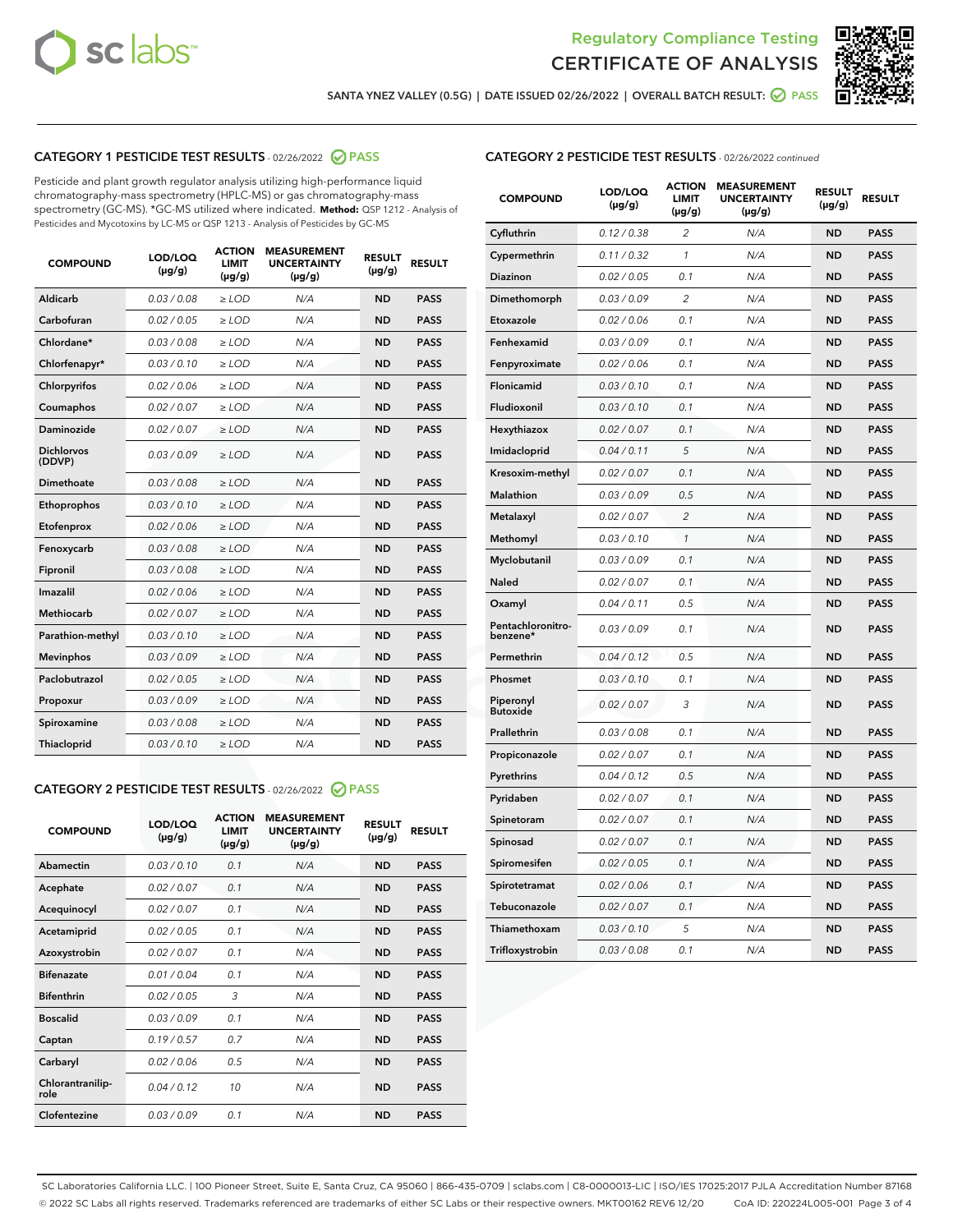



SANTA YNEZ VALLEY (0.5G) | DATE ISSUED 02/26/2022 | OVERALL BATCH RESULT: @ PASS

# CATEGORY 1 PESTICIDE TEST RESULTS - 02/26/2022 2 PASS

Pesticide and plant growth regulator analysis utilizing high-performance liquid chromatography-mass spectrometry (HPLC-MS) or gas chromatography-mass spectrometry (GC-MS). \*GC-MS utilized where indicated. **Method:** QSP 1212 - Analysis of Pesticides and Mycotoxins by LC-MS or QSP 1213 - Analysis of Pesticides by GC-MS

| <b>COMPOUND</b>             | LOD/LOQ<br>$(\mu g/g)$ | <b>ACTION</b><br><b>LIMIT</b><br>$(\mu g/g)$ | <b>MEASUREMENT</b><br><b>UNCERTAINTY</b><br>$(\mu g/g)$ | <b>RESULT</b><br>$(\mu g/g)$ | <b>RESULT</b> |
|-----------------------------|------------------------|----------------------------------------------|---------------------------------------------------------|------------------------------|---------------|
| Aldicarb                    | 0.03 / 0.08            | $\ge$ LOD                                    | N/A                                                     | <b>ND</b>                    | <b>PASS</b>   |
| Carbofuran                  | 0.02 / 0.05            | $>$ LOD                                      | N/A                                                     | <b>ND</b>                    | <b>PASS</b>   |
| Chlordane*                  | 0.03 / 0.08            | $\ge$ LOD                                    | N/A                                                     | <b>ND</b>                    | <b>PASS</b>   |
| Chlorfenapyr*               | 0.03/0.10              | $\ge$ LOD                                    | N/A                                                     | <b>ND</b>                    | <b>PASS</b>   |
| Chlorpyrifos                | 0.02/0.06              | $>$ LOD                                      | N/A                                                     | <b>ND</b>                    | <b>PASS</b>   |
| Coumaphos                   | 0.02 / 0.07            | $\ge$ LOD                                    | N/A                                                     | <b>ND</b>                    | <b>PASS</b>   |
| Daminozide                  | 0.02 / 0.07            | $\ge$ LOD                                    | N/A                                                     | <b>ND</b>                    | <b>PASS</b>   |
| <b>Dichlorvos</b><br>(DDVP) | 0.03/0.09              | $\ge$ LOD                                    | N/A                                                     | <b>ND</b>                    | <b>PASS</b>   |
| Dimethoate                  | 0.03 / 0.08            | $>$ LOD                                      | N/A                                                     | <b>ND</b>                    | <b>PASS</b>   |
| Ethoprophos                 | 0.03/0.10              | $>$ LOD                                      | N/A                                                     | <b>ND</b>                    | <b>PASS</b>   |
| Etofenprox                  | 0.02 / 0.06            | $\ge$ LOD                                    | N/A                                                     | <b>ND</b>                    | <b>PASS</b>   |
| Fenoxycarb                  | 0.03 / 0.08            | $\ge$ LOD                                    | N/A                                                     | <b>ND</b>                    | <b>PASS</b>   |
| Fipronil                    | 0.03 / 0.08            | $\ge$ LOD                                    | N/A                                                     | <b>ND</b>                    | <b>PASS</b>   |
| Imazalil                    | 0.02 / 0.06            | $\ge$ LOD                                    | N/A                                                     | <b>ND</b>                    | <b>PASS</b>   |
| <b>Methiocarb</b>           | 0.02 / 0.07            | $\ge$ LOD                                    | N/A                                                     | <b>ND</b>                    | <b>PASS</b>   |
| Parathion-methyl            | 0.03/0.10              | $>$ LOD                                      | N/A                                                     | <b>ND</b>                    | <b>PASS</b>   |
| <b>Mevinphos</b>            | 0.03/0.09              | $\ge$ LOD                                    | N/A                                                     | <b>ND</b>                    | <b>PASS</b>   |
| Paclobutrazol               | 0.02 / 0.05            | $\ge$ LOD                                    | N/A                                                     | <b>ND</b>                    | <b>PASS</b>   |
| Propoxur                    | 0.03/0.09              | $>$ LOD                                      | N/A                                                     | <b>ND</b>                    | <b>PASS</b>   |
| Spiroxamine                 | 0.03 / 0.08            | $\ge$ LOD                                    | N/A                                                     | <b>ND</b>                    | <b>PASS</b>   |
| Thiacloprid                 | 0.03/0.10              | $\ge$ LOD                                    | N/A                                                     | <b>ND</b>                    | <b>PASS</b>   |

# CATEGORY 2 PESTICIDE TEST RESULTS - 02/26/2022 @ PASS

| <b>COMPOUND</b>          | LOD/LOQ<br>$(\mu g/g)$ | <b>ACTION</b><br><b>LIMIT</b><br>$(\mu g/g)$ | <b>MEASUREMENT</b><br><b>UNCERTAINTY</b><br>$(\mu g/g)$ | <b>RESULT</b><br>$(\mu g/g)$ | <b>RESULT</b> |  |
|--------------------------|------------------------|----------------------------------------------|---------------------------------------------------------|------------------------------|---------------|--|
| Abamectin                | 0.03/0.10              | 0.1                                          | N/A                                                     | <b>ND</b>                    | <b>PASS</b>   |  |
| Acephate                 | 0.02/0.07              | 0.1                                          | N/A                                                     | <b>ND</b>                    | <b>PASS</b>   |  |
| Acequinocyl              | 0.02/0.07              | 0.1                                          | N/A                                                     | <b>ND</b>                    | <b>PASS</b>   |  |
| Acetamiprid              | 0.02/0.05              | 0.1                                          | N/A                                                     | <b>ND</b>                    | <b>PASS</b>   |  |
| Azoxystrobin             | 0.02/0.07              | 0.1                                          | N/A                                                     | <b>ND</b>                    | <b>PASS</b>   |  |
| <b>Bifenazate</b>        | 0.01/0.04              | 0.1                                          | N/A                                                     | <b>ND</b>                    | <b>PASS</b>   |  |
| <b>Bifenthrin</b>        | 0.02 / 0.05            | 3                                            | N/A                                                     | <b>ND</b>                    | <b>PASS</b>   |  |
| <b>Boscalid</b>          | 0.03/0.09              | 0.1                                          | N/A                                                     | <b>ND</b>                    | <b>PASS</b>   |  |
| Captan                   | 0.19/0.57              | 0.7                                          | N/A                                                     | <b>ND</b>                    | <b>PASS</b>   |  |
| Carbaryl                 | 0.02/0.06              | 0.5                                          | N/A                                                     | <b>ND</b>                    | <b>PASS</b>   |  |
| Chlorantranilip-<br>role | 0.04/0.12              | 10                                           | N/A                                                     | <b>ND</b>                    | <b>PASS</b>   |  |
| Clofentezine             | 0.03/0.09              | 0.1                                          | N/A                                                     | <b>ND</b>                    | <b>PASS</b>   |  |

| <b>CATEGORY 2 PESTICIDE TEST RESULTS</b> - 02/26/2022 continued |
|-----------------------------------------------------------------|
|-----------------------------------------------------------------|

| <b>COMPOUND</b>               | LOD/LOQ<br>$(\mu g/g)$ | <b>ACTION</b><br><b>LIMIT</b><br>(µg/g) | <b>MEASUREMENT</b><br><b>UNCERTAINTY</b><br>(µg/g) | <b>RESULT</b><br>(µg/g) | <b>RESULT</b> |
|-------------------------------|------------------------|-----------------------------------------|----------------------------------------------------|-------------------------|---------------|
| Cyfluthrin                    | 0.12 / 0.38            | $\overline{c}$                          | N/A                                                | <b>ND</b>               | <b>PASS</b>   |
| Cypermethrin                  | 0.11/0.32              | $\mathcal{I}$                           | N/A                                                | ND                      | <b>PASS</b>   |
| <b>Diazinon</b>               | 0.02 / 0.05            | 0.1                                     | N/A                                                | <b>ND</b>               | <b>PASS</b>   |
| Dimethomorph                  | 0.03 / 0.09            | 2                                       | N/A                                                | <b>ND</b>               | <b>PASS</b>   |
| Etoxazole                     | 0.02 / 0.06            | 0.1                                     | N/A                                                | <b>ND</b>               | <b>PASS</b>   |
| Fenhexamid                    | 0.03 / 0.09            | 0.1                                     | N/A                                                | <b>ND</b>               | <b>PASS</b>   |
| Fenpyroximate                 | 0.02 / 0.06            | 0.1                                     | N/A                                                | <b>ND</b>               | <b>PASS</b>   |
| Flonicamid                    | 0.03 / 0.10            | 0.1                                     | N/A                                                | <b>ND</b>               | <b>PASS</b>   |
| Fludioxonil                   | 0.03 / 0.10            | 0.1                                     | N/A                                                | ND                      | <b>PASS</b>   |
| Hexythiazox                   | 0.02 / 0.07            | 0.1                                     | N/A                                                | <b>ND</b>               | <b>PASS</b>   |
| Imidacloprid                  | 0.04 / 0.11            | 5                                       | N/A                                                | <b>ND</b>               | <b>PASS</b>   |
| Kresoxim-methyl               | 0.02 / 0.07            | 0.1                                     | N/A                                                | <b>ND</b>               | <b>PASS</b>   |
| Malathion                     | 0.03 / 0.09            | 0.5                                     | N/A                                                | <b>ND</b>               | <b>PASS</b>   |
| Metalaxyl                     | 0.02 / 0.07            | $\overline{c}$                          | N/A                                                | <b>ND</b>               | <b>PASS</b>   |
| Methomyl                      | 0.03 / 0.10            | $\mathcal{I}$                           | N/A                                                | <b>ND</b>               | <b>PASS</b>   |
| Myclobutanil                  | 0.03 / 0.09            | 0.1                                     | N/A                                                | <b>ND</b>               | <b>PASS</b>   |
| <b>Naled</b>                  | 0.02 / 0.07            | 0.1                                     | N/A                                                | <b>ND</b>               | <b>PASS</b>   |
| Oxamyl                        | 0.04 / 0.11            | 0.5                                     | N/A                                                | <b>ND</b>               | <b>PASS</b>   |
| Pentachloronitro-<br>benzene* | 0.03/0.09              | 0.1                                     | N/A                                                | <b>ND</b>               | <b>PASS</b>   |
| Permethrin                    | 0.04 / 0.12            | 0.5                                     | N/A                                                | <b>ND</b>               | <b>PASS</b>   |
| Phosmet                       | 0.03 / 0.10            | 0.1                                     | N/A                                                | <b>ND</b>               | <b>PASS</b>   |
| Piperonyl<br><b>Butoxide</b>  | 0.02 / 0.07            | 3                                       | N/A                                                | <b>ND</b>               | <b>PASS</b>   |
| Prallethrin                   | 0.03 / 0.08            | 0.1                                     | N/A                                                | <b>ND</b>               | <b>PASS</b>   |
| Propiconazole                 | 0.02 / 0.07            | 0.1                                     | N/A                                                | <b>ND</b>               | <b>PASS</b>   |
| Pyrethrins                    | 0.04 / 0.12            | 0.5                                     | N/A                                                | <b>ND</b>               | <b>PASS</b>   |
| Pyridaben                     | 0.02 / 0.07            | 0.1                                     | N/A                                                | <b>ND</b>               | <b>PASS</b>   |
| Spinetoram                    | 0.02 / 0.07            | 0.1                                     | N/A                                                | <b>ND</b>               | <b>PASS</b>   |
| Spinosad                      | 0.02 / 0.07            | 0.1                                     | N/A                                                | <b>ND</b>               | <b>PASS</b>   |
| Spiromesifen                  | 0.02 / 0.05            | 0.1                                     | N/A                                                | <b>ND</b>               | <b>PASS</b>   |
| Spirotetramat                 | 0.02 / 0.06            | 0.1                                     | N/A                                                | ND                      | PASS          |
| Tebuconazole                  | 0.02 / 0.07            | 0.1                                     | N/A                                                | <b>ND</b>               | <b>PASS</b>   |
| Thiamethoxam                  | 0.03 / 0.10            | 5                                       | N/A                                                | ND                      | <b>PASS</b>   |
| Trifloxystrobin               | 0.03 / 0.08            | 0.1                                     | N/A                                                | ND                      | <b>PASS</b>   |

SC Laboratories California LLC. | 100 Pioneer Street, Suite E, Santa Cruz, CA 95060 | 866-435-0709 | sclabs.com | C8-0000013-LIC | ISO/IES 17025:2017 PJLA Accreditation Number 87168 © 2022 SC Labs all rights reserved. Trademarks referenced are trademarks of either SC Labs or their respective owners. MKT00162 REV6 12/20 CoA ID: 220224L005-001 Page 3 of 4